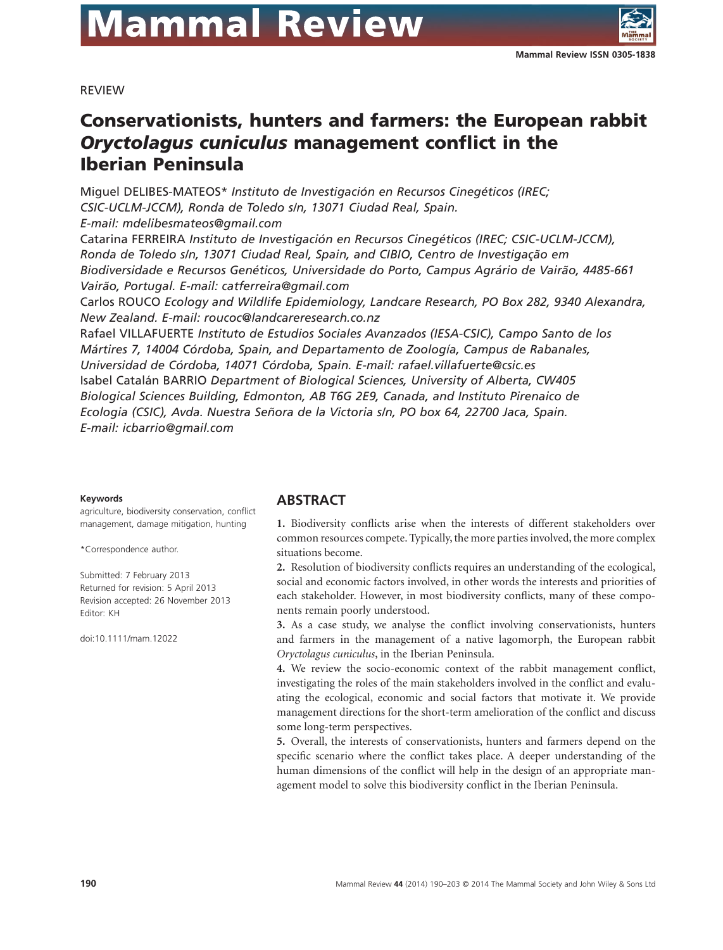

REVIEW

# **Conservationists, hunters and farmers: the European rabbit** *Oryctolagus cuniculus* **management conflict in the Iberian Peninsula**

Miguel DELIBES-MATEOS\* *Instituto de Investigación en Recursos Cinegéticos (IREC; CSIC-UCLM-JCCM), Ronda de Toledo s/n, 13071 Ciudad Real, Spain. E-mail: mdelibesmateos@gmail.com*

Catarina FERREIRA *Instituto de Investigación en Recursos Cinegéticos (IREC; CSIC-UCLM-JCCM), Ronda de Toledo s/n, 13071 Ciudad Real, Spain, and CIBIO, Centro de Investigação em Biodiversidade e Recursos Genéticos, Universidade do Porto, Campus Agrário de Vairão, 4485-661 Vairão, Portugal. E-mail: catferreira@gmail.com*

Carlos ROUCO *Ecology and Wildlife Epidemiology, Landcare Research, PO Box 282, 9340 Alexandra, New Zealand. E-mail: roucoc@landcareresearch.co.nz*

Rafael VILLAFUERTE *Instituto de Estudios Sociales Avanzados (IESA-CSIC), Campo Santo de los Mártires 7, 14004 Córdoba, Spain, and Departamento de Zoología, Campus de Rabanales, Universidad de Córdoba, 14071 Córdoba, Spain. E-mail: rafael.villafuerte@csic.es* Isabel Catalán BARRIO *Department of Biological Sciences, University of Alberta, CW405 Biological Sciences Building, Edmonton, AB T6G 2E9, Canada, and Instituto Pirenaico de Ecologia (CSIC), Avda. Nuestra Señora de la Victoria s/n, PO box 64, 22700 Jaca, Spain. E-mail: icbarrio@gmail.com*

#### **Keywords**

agriculture, biodiversity conservation, conflict management, damage mitigation, hunting

\*Correspondence author.

Submitted: 7 February 2013 Returned for revision: 5 April 2013 Revision accepted: 26 November 2013 Editor: KH

doi:10.1111/mam.12022

# **ABSTRACT**

**1.** Biodiversity conflicts arise when the interests of different stakeholders over common resources compete. Typically, the more parties involved, the more complex situations become.

**2.** Resolution of biodiversity conflicts requires an understanding of the ecological, social and economic factors involved, in other words the interests and priorities of each stakeholder. However, in most biodiversity conflicts, many of these components remain poorly understood.

**3.** As a case study, we analyse the conflict involving conservationists, hunters and farmers in the management of a native lagomorph, the European rabbit *Oryctolagus cuniculus*, in the Iberian Peninsula.

**4.** We review the socio-economic context of the rabbit management conflict, investigating the roles of the main stakeholders involved in the conflict and evaluating the ecological, economic and social factors that motivate it. We provide management directions for the short-term amelioration of the conflict and discuss some long-term perspectives.

**5.** Overall, the interests of conservationists, hunters and farmers depend on the specific scenario where the conflict takes place. A deeper understanding of the human dimensions of the conflict will help in the design of an appropriate management model to solve this biodiversity conflict in the Iberian Peninsula.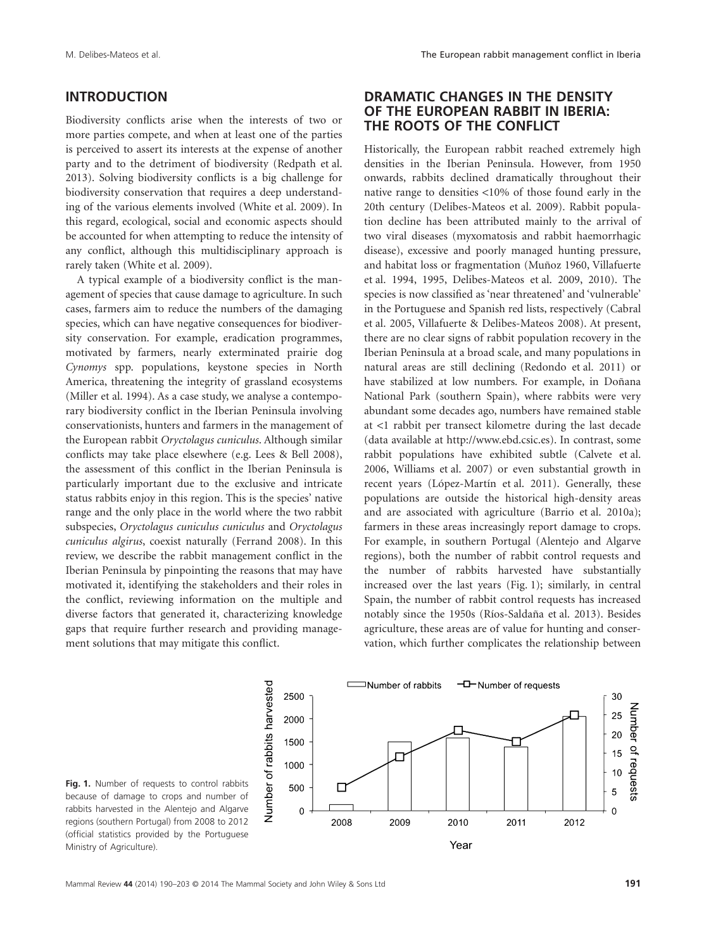# **INTRODUCTION**

Biodiversity conflicts arise when the interests of two or more parties compete, and when at least one of the parties is perceived to assert its interests at the expense of another party and to the detriment of biodiversity (Redpath et al. 2013). Solving biodiversity conflicts is a big challenge for biodiversity conservation that requires a deep understanding of the various elements involved (White et al. 2009). In this regard, ecological, social and economic aspects should be accounted for when attempting to reduce the intensity of any conflict, although this multidisciplinary approach is rarely taken (White et al. 2009).

A typical example of a biodiversity conflict is the management of species that cause damage to agriculture. In such cases, farmers aim to reduce the numbers of the damaging species, which can have negative consequences for biodiversity conservation. For example, eradication programmes, motivated by farmers, nearly exterminated prairie dog *Cynomys* spp. populations, keystone species in North America, threatening the integrity of grassland ecosystems (Miller et al. 1994). As a case study, we analyse a contemporary biodiversity conflict in the Iberian Peninsula involving conservationists, hunters and farmers in the management of the European rabbit *Oryctolagus cuniculus*. Although similar conflicts may take place elsewhere (e.g. Lees & Bell 2008), the assessment of this conflict in the Iberian Peninsula is particularly important due to the exclusive and intricate status rabbits enjoy in this region. This is the species' native range and the only place in the world where the two rabbit subspecies, *Oryctolagus cuniculus cuniculus* and *Oryctolagus cuniculus algirus*, coexist naturally (Ferrand 2008). In this review, we describe the rabbit management conflict in the Iberian Peninsula by pinpointing the reasons that may have motivated it, identifying the stakeholders and their roles in the conflict, reviewing information on the multiple and diverse factors that generated it, characterizing knowledge gaps that require further research and providing management solutions that may mitigate this conflict.

# **DRAMATIC CHANGES IN THE DENSITY OF THE EUROPEAN RABBIT IN IBERIA: THE ROOTS OF THE CONFLICT**

Historically, the European rabbit reached extremely high densities in the Iberian Peninsula. However, from 1950 onwards, rabbits declined dramatically throughout their native range to densities <10% of those found early in the 20th century (Delibes-Mateos et al. 2009). Rabbit population decline has been attributed mainly to the arrival of two viral diseases (myxomatosis and rabbit haemorrhagic disease), excessive and poorly managed hunting pressure, and habitat loss or fragmentation (Muñoz 1960, Villafuerte et al. 1994, 1995, Delibes-Mateos et al. 2009, 2010). The species is now classified as 'near threatened' and 'vulnerable' in the Portuguese and Spanish red lists, respectively (Cabral et al. 2005, Villafuerte & Delibes-Mateos 2008). At present, there are no clear signs of rabbit population recovery in the Iberian Peninsula at a broad scale, and many populations in natural areas are still declining (Redondo et al. 2011) or have stabilized at low numbers. For example, in Doñana National Park (southern Spain), where rabbits were very abundant some decades ago, numbers have remained stable at <1 rabbit per transect kilometre during the last decade (data available at http://www.ebd.csic.es). In contrast, some rabbit populations have exhibited subtle (Calvete et al. 2006, Williams et al. 2007) or even substantial growth in recent years (López-Martín et al. 2011). Generally, these populations are outside the historical high-density areas and are associated with agriculture (Barrio et al. 2010a); farmers in these areas increasingly report damage to crops. For example, in southern Portugal (Alentejo and Algarve regions), both the number of rabbit control requests and the number of rabbits harvested have substantially increased over the last years (Fig. 1); similarly, in central Spain, the number of rabbit control requests has increased notably since the 1950s (Ríos-Saldaña et al. 2013). Besides agriculture, these areas are of value for hunting and conservation, which further complicates the relationship between



Fig. 1. Number of requests to control rabbits because of damage to crops and number of rabbits harvested in the Alentejo and Algarve regions (southern Portugal) from 2008 to 2012 (official statistics provided by the Portuguese Ministry of Agriculture).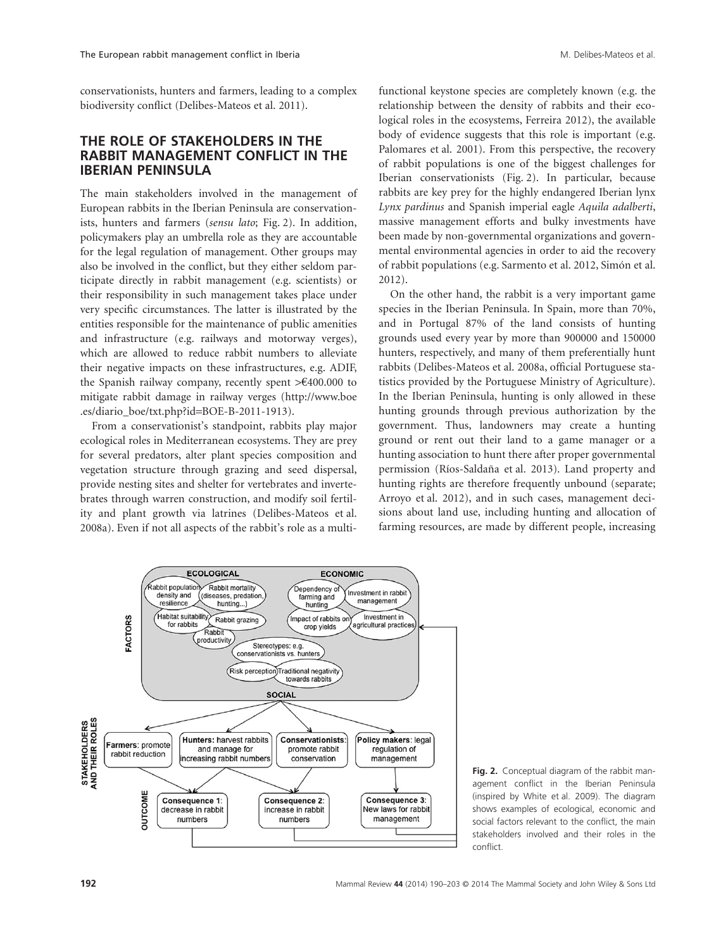conservationists, hunters and farmers, leading to a complex biodiversity conflict (Delibes-Mateos et al. 2011).

## **THE ROLE OF STAKEHOLDERS IN THE RABBIT MANAGEMENT CONFLICT IN THE IBERIAN PENINSULA**

The main stakeholders involved in the management of European rabbits in the Iberian Peninsula are conservationists, hunters and farmers (*sensu lato*; Fig. 2). In addition, policymakers play an umbrella role as they are accountable for the legal regulation of management. Other groups may also be involved in the conflict, but they either seldom participate directly in rabbit management (e.g. scientists) or their responsibility in such management takes place under very specific circumstances. The latter is illustrated by the entities responsible for the maintenance of public amenities and infrastructure (e.g. railways and motorway verges), which are allowed to reduce rabbit numbers to alleviate their negative impacts on these infrastructures, e.g. ADIF, the Spanish railway company, recently spent >€400.000 to mitigate rabbit damage in railway verges (http://www.boe .es/diario\_boe/txt.php?id=BOE-B-2011-1913).

From a conservationist's standpoint, rabbits play major ecological roles in Mediterranean ecosystems. They are prey for several predators, alter plant species composition and vegetation structure through grazing and seed dispersal, provide nesting sites and shelter for vertebrates and invertebrates through warren construction, and modify soil fertility and plant growth via latrines (Delibes-Mateos et al. 2008a). Even if not all aspects of the rabbit's role as a multifunctional keystone species are completely known (e.g. the relationship between the density of rabbits and their ecological roles in the ecosystems, Ferreira 2012), the available body of evidence suggests that this role is important (e.g. Palomares et al. 2001). From this perspective, the recovery of rabbit populations is one of the biggest challenges for Iberian conservationists (Fig. 2). In particular, because rabbits are key prey for the highly endangered Iberian lynx *Lynx pardinus* and Spanish imperial eagle *Aquila adalberti*, massive management efforts and bulky investments have been made by non-governmental organizations and governmental environmental agencies in order to aid the recovery of rabbit populations (e.g. Sarmento et al. 2012, Simón et al. 2012).

On the other hand, the rabbit is a very important game species in the Iberian Peninsula. In Spain, more than 70%, and in Portugal 87% of the land consists of hunting grounds used every year by more than 900000 and 150000 hunters, respectively, and many of them preferentially hunt rabbits (Delibes-Mateos et al. 2008a, official Portuguese statistics provided by the Portuguese Ministry of Agriculture). In the Iberian Peninsula, hunting is only allowed in these hunting grounds through previous authorization by the government. Thus, landowners may create a hunting ground or rent out their land to a game manager or a hunting association to hunt there after proper governmental permission (Ríos-Saldaña et al. 2013). Land property and hunting rights are therefore frequently unbound (separate; Arroyo et al. 2012), and in such cases, management decisions about land use, including hunting and allocation of farming resources, are made by different people, increasing



**Fig. 2.** Conceptual diagram of the rabbit management conflict in the Iberian Peninsula (inspired by White et al. 2009). The diagram shows examples of ecological, economic and social factors relevant to the conflict, the main stakeholders involved and their roles in the conflict.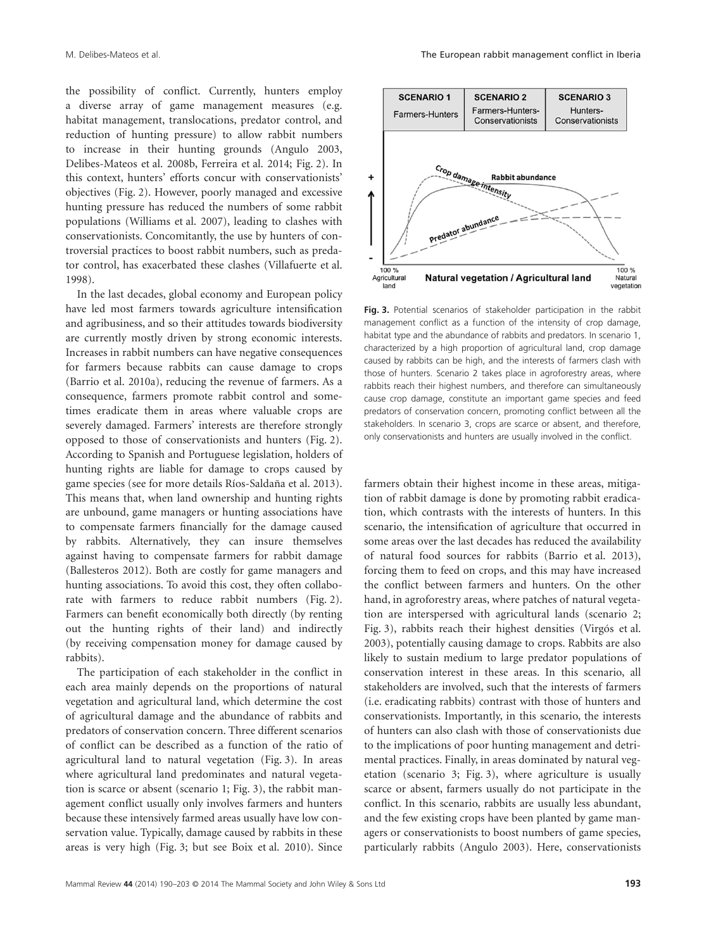the possibility of conflict. Currently, hunters employ a diverse array of game management measures (e.g. habitat management, translocations, predator control, and reduction of hunting pressure) to allow rabbit numbers to increase in their hunting grounds (Angulo 2003, Delibes-Mateos et al. 2008b, Ferreira et al. 2014; Fig. 2). In this context, hunters' efforts concur with conservationists' objectives (Fig. 2). However, poorly managed and excessive hunting pressure has reduced the numbers of some rabbit populations (Williams et al. 2007), leading to clashes with conservationists. Concomitantly, the use by hunters of controversial practices to boost rabbit numbers, such as predator control, has exacerbated these clashes (Villafuerte et al. 1998).

In the last decades, global economy and European policy have led most farmers towards agriculture intensification and agribusiness, and so their attitudes towards biodiversity are currently mostly driven by strong economic interests. Increases in rabbit numbers can have negative consequences for farmers because rabbits can cause damage to crops (Barrio et al. 2010a), reducing the revenue of farmers. As a consequence, farmers promote rabbit control and sometimes eradicate them in areas where valuable crops are severely damaged. Farmers' interests are therefore strongly opposed to those of conservationists and hunters (Fig. 2). According to Spanish and Portuguese legislation, holders of hunting rights are liable for damage to crops caused by game species (see for more details Ríos-Saldaña et al. 2013). This means that, when land ownership and hunting rights are unbound, game managers or hunting associations have to compensate farmers financially for the damage caused by rabbits. Alternatively, they can insure themselves against having to compensate farmers for rabbit damage (Ballesteros 2012). Both are costly for game managers and hunting associations. To avoid this cost, they often collaborate with farmers to reduce rabbit numbers (Fig. 2). Farmers can benefit economically both directly (by renting out the hunting rights of their land) and indirectly (by receiving compensation money for damage caused by rabbits).

The participation of each stakeholder in the conflict in each area mainly depends on the proportions of natural vegetation and agricultural land, which determine the cost of agricultural damage and the abundance of rabbits and predators of conservation concern. Three different scenarios of conflict can be described as a function of the ratio of agricultural land to natural vegetation (Fig. 3). In areas where agricultural land predominates and natural vegetation is scarce or absent (scenario 1; Fig. 3), the rabbit management conflict usually only involves farmers and hunters because these intensively farmed areas usually have low conservation value. Typically, damage caused by rabbits in these areas is very high (Fig. 3; but see Boix et al. 2010). Since



**Fig. 3.** Potential scenarios of stakeholder participation in the rabbit management conflict as a function of the intensity of crop damage, habitat type and the abundance of rabbits and predators. In scenario 1, characterized by a high proportion of agricultural land, crop damage caused by rabbits can be high, and the interests of farmers clash with those of hunters. Scenario 2 takes place in agroforestry areas, where rabbits reach their highest numbers, and therefore can simultaneously cause crop damage, constitute an important game species and feed predators of conservation concern, promoting conflict between all the stakeholders. In scenario 3, crops are scarce or absent, and therefore, only conservationists and hunters are usually involved in the conflict.

farmers obtain their highest income in these areas, mitigation of rabbit damage is done by promoting rabbit eradication, which contrasts with the interests of hunters. In this scenario, the intensification of agriculture that occurred in some areas over the last decades has reduced the availability of natural food sources for rabbits (Barrio et al. 2013), forcing them to feed on crops, and this may have increased the conflict between farmers and hunters. On the other hand, in agroforestry areas, where patches of natural vegetation are interspersed with agricultural lands (scenario 2; Fig. 3), rabbits reach their highest densities (Virgós et al. 2003), potentially causing damage to crops. Rabbits are also likely to sustain medium to large predator populations of conservation interest in these areas. In this scenario, all stakeholders are involved, such that the interests of farmers (i.e. eradicating rabbits) contrast with those of hunters and conservationists. Importantly, in this scenario, the interests of hunters can also clash with those of conservationists due to the implications of poor hunting management and detrimental practices. Finally, in areas dominated by natural vegetation (scenario 3; Fig. 3), where agriculture is usually scarce or absent, farmers usually do not participate in the conflict. In this scenario, rabbits are usually less abundant, and the few existing crops have been planted by game managers or conservationists to boost numbers of game species, particularly rabbits (Angulo 2003). Here, conservationists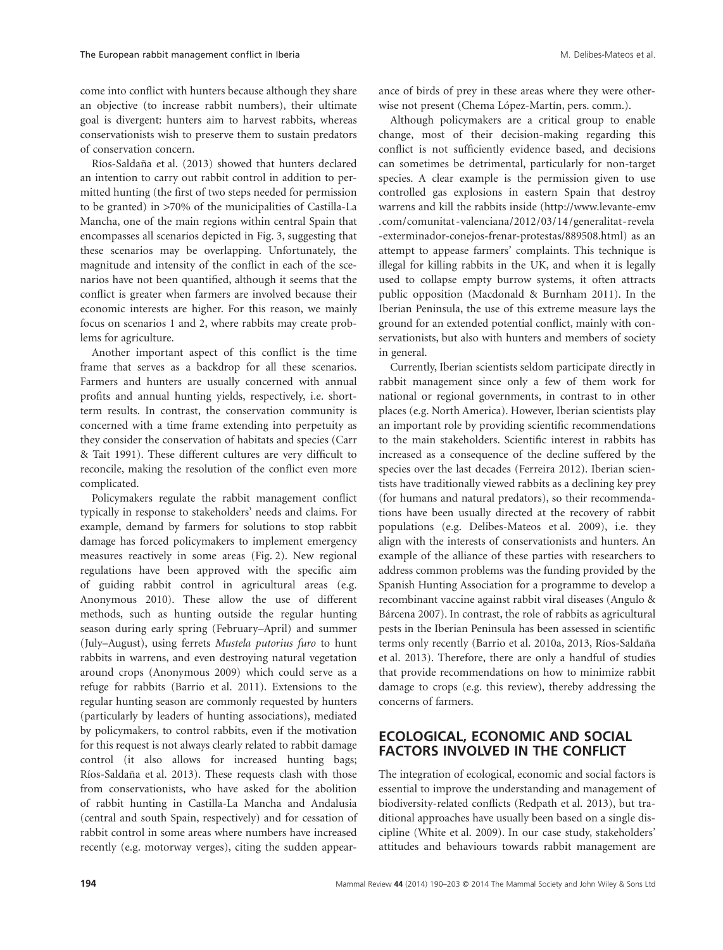come into conflict with hunters because although they share an objective (to increase rabbit numbers), their ultimate goal is divergent: hunters aim to harvest rabbits, whereas conservationists wish to preserve them to sustain predators of conservation concern.

Ríos-Saldaña et al. (2013) showed that hunters declared an intention to carry out rabbit control in addition to permitted hunting (the first of two steps needed for permission to be granted) in >70% of the municipalities of Castilla-La Mancha, one of the main regions within central Spain that encompasses all scenarios depicted in Fig. 3, suggesting that these scenarios may be overlapping. Unfortunately, the magnitude and intensity of the conflict in each of the scenarios have not been quantified, although it seems that the conflict is greater when farmers are involved because their economic interests are higher. For this reason, we mainly focus on scenarios 1 and 2, where rabbits may create problems for agriculture.

Another important aspect of this conflict is the time frame that serves as a backdrop for all these scenarios. Farmers and hunters are usually concerned with annual profits and annual hunting yields, respectively, i.e. shortterm results. In contrast, the conservation community is concerned with a time frame extending into perpetuity as they consider the conservation of habitats and species (Carr & Tait 1991). These different cultures are very difficult to reconcile, making the resolution of the conflict even more complicated.

Policymakers regulate the rabbit management conflict typically in response to stakeholders' needs and claims. For example, demand by farmers for solutions to stop rabbit damage has forced policymakers to implement emergency measures reactively in some areas (Fig. 2). New regional regulations have been approved with the specific aim of guiding rabbit control in agricultural areas (e.g. Anonymous 2010). These allow the use of different methods, such as hunting outside the regular hunting season during early spring (February–April) and summer (July–August), using ferrets *Mustela putorius furo* to hunt rabbits in warrens, and even destroying natural vegetation around crops (Anonymous 2009) which could serve as a refuge for rabbits (Barrio et al. 2011). Extensions to the regular hunting season are commonly requested by hunters (particularly by leaders of hunting associations), mediated by policymakers, to control rabbits, even if the motivation for this request is not always clearly related to rabbit damage control (it also allows for increased hunting bags; Ríos-Saldaña et al. 2013). These requests clash with those from conservationists, who have asked for the abolition of rabbit hunting in Castilla-La Mancha and Andalusia (central and south Spain, respectively) and for cessation of rabbit control in some areas where numbers have increased recently (e.g. motorway verges), citing the sudden appearance of birds of prey in these areas where they were otherwise not present (Chema López-Martín, pers. comm.).

Although policymakers are a critical group to enable change, most of their decision-making regarding this conflict is not sufficiently evidence based, and decisions can sometimes be detrimental, particularly for non-target species. A clear example is the permission given to use controlled gas explosions in eastern Spain that destroy warrens and kill the rabbits inside (http://www.levante-emv .com/comunitat -valenciana/2012/03/14 /generalitat-revela -exterminador-conejos-frenar-protestas/889508.html) as an attempt to appease farmers' complaints. This technique is illegal for killing rabbits in the UK, and when it is legally used to collapse empty burrow systems, it often attracts public opposition (Macdonald & Burnham 2011). In the Iberian Peninsula, the use of this extreme measure lays the ground for an extended potential conflict, mainly with conservationists, but also with hunters and members of society in general.

Currently, Iberian scientists seldom participate directly in rabbit management since only a few of them work for national or regional governments, in contrast to in other places (e.g. North America). However, Iberian scientists play an important role by providing scientific recommendations to the main stakeholders. Scientific interest in rabbits has increased as a consequence of the decline suffered by the species over the last decades (Ferreira 2012). Iberian scientists have traditionally viewed rabbits as a declining key prey (for humans and natural predators), so their recommendations have been usually directed at the recovery of rabbit populations (e.g. Delibes-Mateos et al. 2009), i.e. they align with the interests of conservationists and hunters. An example of the alliance of these parties with researchers to address common problems was the funding provided by the Spanish Hunting Association for a programme to develop a recombinant vaccine against rabbit viral diseases (Angulo & Bárcena 2007). In contrast, the role of rabbits as agricultural pests in the Iberian Peninsula has been assessed in scientific terms only recently (Barrio et al. 2010a, 2013, Ríos-Saldaña et al. 2013). Therefore, there are only a handful of studies that provide recommendations on how to minimize rabbit damage to crops (e.g. this review), thereby addressing the concerns of farmers.

# **ECOLOGICAL, ECONOMIC AND SOCIAL FACTORS INVOLVED IN THE CONFLICT**

The integration of ecological, economic and social factors is essential to improve the understanding and management of biodiversity-related conflicts (Redpath et al. 2013), but traditional approaches have usually been based on a single discipline (White et al. 2009). In our case study, stakeholders' attitudes and behaviours towards rabbit management are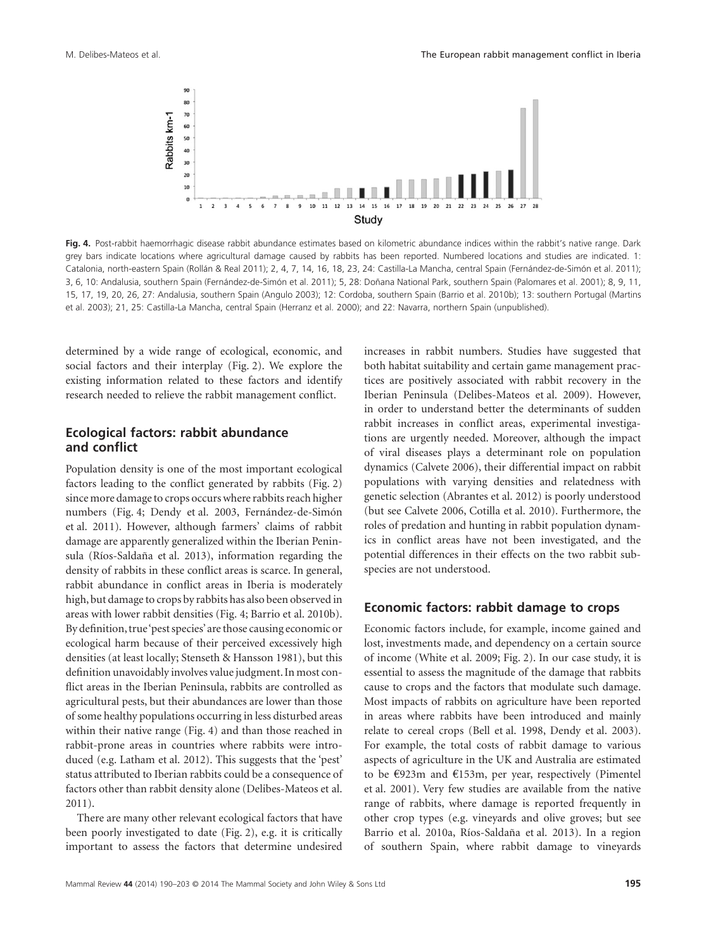

**Fig. 4.** Post-rabbit haemorrhagic disease rabbit abundance estimates based on kilometric abundance indices within the rabbit's native range. Dark grey bars indicate locations where agricultural damage caused by rabbits has been reported. Numbered locations and studies are indicated. 1: Catalonia, north-eastern Spain (Rollán & Real 2011); 2, 4, 7, 14, 16, 18, 23, 24: Castilla-La Mancha, central Spain (Fernández-de-Simón et al. 2011); 3, 6, 10: Andalusia, southern Spain (Fernández-de-Simón et al. 2011); 5, 28: Doñana National Park, southern Spain (Palomares et al. 2001); 8, 9, 11, 15, 17, 19, 20, 26, 27: Andalusia, southern Spain (Angulo 2003); 12: Cordoba, southern Spain (Barrio et al. 2010b); 13: southern Portugal (Martins et al. 2003); 21, 25: Castilla-La Mancha, central Spain (Herranz et al. 2000); and 22: Navarra, northern Spain (unpublished).

determined by a wide range of ecological, economic, and social factors and their interplay (Fig. 2). We explore the existing information related to these factors and identify research needed to relieve the rabbit management conflict.

#### **Ecological factors: rabbit abundance and conflict**

Population density is one of the most important ecological factors leading to the conflict generated by rabbits (Fig. 2) since more damage to crops occurs where rabbits reach higher numbers (Fig. 4; Dendy et al. 2003, Fernández-de-Simón et al. 2011). However, although farmers' claims of rabbit damage are apparently generalized within the Iberian Peninsula (Ríos-Saldaña et al. 2013), information regarding the density of rabbits in these conflict areas is scarce. In general, rabbit abundance in conflict areas in Iberia is moderately high, but damage to crops by rabbits has also been observed in areas with lower rabbit densities (Fig. 4; Barrio et al. 2010b). By definition, true'pest species'are those causing economic or ecological harm because of their perceived excessively high densities (at least locally; Stenseth & Hansson 1981), but this definition unavoidably involves value judgment. In most conflict areas in the Iberian Peninsula, rabbits are controlled as agricultural pests, but their abundances are lower than those of some healthy populations occurring in less disturbed areas within their native range (Fig. 4) and than those reached in rabbit-prone areas in countries where rabbits were introduced (e.g. Latham et al. 2012). This suggests that the 'pest' status attributed to Iberian rabbits could be a consequence of factors other than rabbit density alone (Delibes-Mateos et al. 2011).

There are many other relevant ecological factors that have been poorly investigated to date (Fig. 2), e.g. it is critically important to assess the factors that determine undesired increases in rabbit numbers. Studies have suggested that both habitat suitability and certain game management practices are positively associated with rabbit recovery in the Iberian Peninsula (Delibes-Mateos et al. 2009). However, in order to understand better the determinants of sudden rabbit increases in conflict areas, experimental investigations are urgently needed. Moreover, although the impact of viral diseases plays a determinant role on population dynamics (Calvete 2006), their differential impact on rabbit populations with varying densities and relatedness with genetic selection (Abrantes et al. 2012) is poorly understood (but see Calvete 2006, Cotilla et al. 2010). Furthermore, the roles of predation and hunting in rabbit population dynamics in conflict areas have not been investigated, and the potential differences in their effects on the two rabbit subspecies are not understood.

#### **Economic factors: rabbit damage to crops**

Economic factors include, for example, income gained and lost, investments made, and dependency on a certain source of income (White et al. 2009; Fig. 2). In our case study, it is essential to assess the magnitude of the damage that rabbits cause to crops and the factors that modulate such damage. Most impacts of rabbits on agriculture have been reported in areas where rabbits have been introduced and mainly relate to cereal crops (Bell et al. 1998, Dendy et al. 2003). For example, the total costs of rabbit damage to various aspects of agriculture in the UK and Australia are estimated to be €923m and €153m, per year, respectively (Pimentel et al. 2001). Very few studies are available from the native range of rabbits, where damage is reported frequently in other crop types (e.g. vineyards and olive groves; but see Barrio et al. 2010a, Ríos-Saldaña et al. 2013). In a region of southern Spain, where rabbit damage to vineyards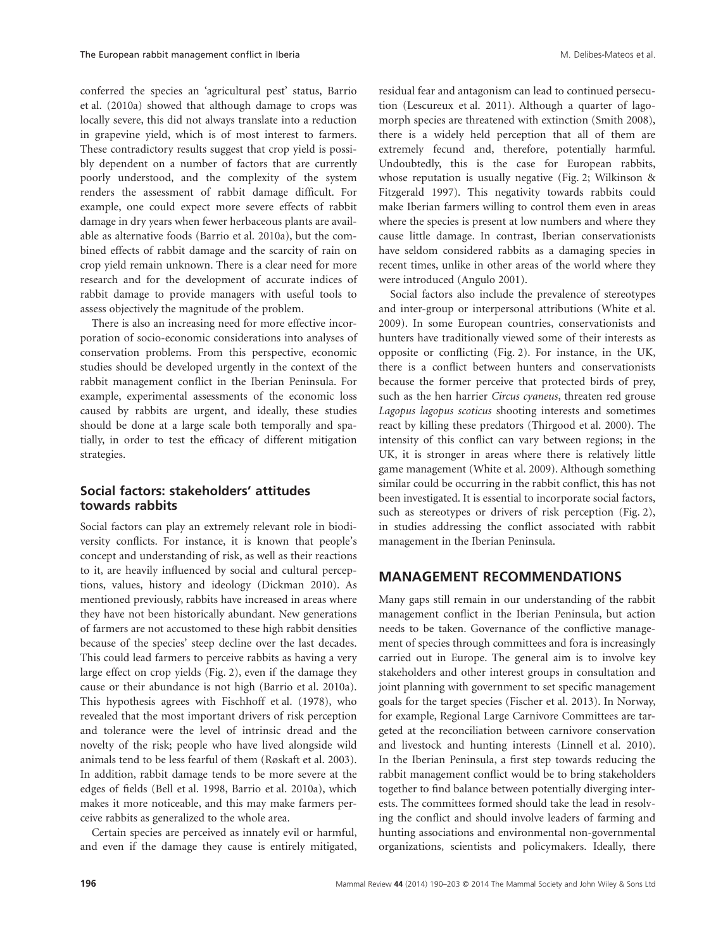conferred the species an 'agricultural pest' status, Barrio et al. (2010a) showed that although damage to crops was locally severe, this did not always translate into a reduction in grapevine yield, which is of most interest to farmers. These contradictory results suggest that crop yield is possibly dependent on a number of factors that are currently poorly understood, and the complexity of the system renders the assessment of rabbit damage difficult. For example, one could expect more severe effects of rabbit damage in dry years when fewer herbaceous plants are available as alternative foods (Barrio et al. 2010a), but the combined effects of rabbit damage and the scarcity of rain on crop yield remain unknown. There is a clear need for more research and for the development of accurate indices of rabbit damage to provide managers with useful tools to assess objectively the magnitude of the problem.

There is also an increasing need for more effective incorporation of socio-economic considerations into analyses of conservation problems. From this perspective, economic studies should be developed urgently in the context of the rabbit management conflict in the Iberian Peninsula. For example, experimental assessments of the economic loss caused by rabbits are urgent, and ideally, these studies should be done at a large scale both temporally and spatially, in order to test the efficacy of different mitigation strategies.

# **Social factors: stakeholders' attitudes towards rabbits**

Social factors can play an extremely relevant role in biodiversity conflicts. For instance, it is known that people's concept and understanding of risk, as well as their reactions to it, are heavily influenced by social and cultural perceptions, values, history and ideology (Dickman 2010). As mentioned previously, rabbits have increased in areas where they have not been historically abundant. New generations of farmers are not accustomed to these high rabbit densities because of the species' steep decline over the last decades. This could lead farmers to perceive rabbits as having a very large effect on crop yields (Fig. 2), even if the damage they cause or their abundance is not high (Barrio et al. 2010a). This hypothesis agrees with Fischhoff et al. (1978), who revealed that the most important drivers of risk perception and tolerance were the level of intrinsic dread and the novelty of the risk; people who have lived alongside wild animals tend to be less fearful of them (Røskaft et al. 2003). In addition, rabbit damage tends to be more severe at the edges of fields (Bell et al. 1998, Barrio et al. 2010a), which makes it more noticeable, and this may make farmers perceive rabbits as generalized to the whole area.

Certain species are perceived as innately evil or harmful, and even if the damage they cause is entirely mitigated, residual fear and antagonism can lead to continued persecution (Lescureux et al. 2011). Although a quarter of lagomorph species are threatened with extinction (Smith 2008), there is a widely held perception that all of them are extremely fecund and, therefore, potentially harmful. Undoubtedly, this is the case for European rabbits, whose reputation is usually negative (Fig. 2; Wilkinson & Fitzgerald 1997). This negativity towards rabbits could make Iberian farmers willing to control them even in areas where the species is present at low numbers and where they cause little damage. In contrast, Iberian conservationists have seldom considered rabbits as a damaging species in recent times, unlike in other areas of the world where they were introduced (Angulo 2001).

Social factors also include the prevalence of stereotypes and inter-group or interpersonal attributions (White et al. 2009). In some European countries, conservationists and hunters have traditionally viewed some of their interests as opposite or conflicting (Fig. 2). For instance, in the UK, there is a conflict between hunters and conservationists because the former perceive that protected birds of prey, such as the hen harrier *Circus cyaneus*, threaten red grouse *Lagopus lagopus scoticus* shooting interests and sometimes react by killing these predators (Thirgood et al. 2000). The intensity of this conflict can vary between regions; in the UK, it is stronger in areas where there is relatively little game management (White et al. 2009). Although something similar could be occurring in the rabbit conflict, this has not been investigated. It is essential to incorporate social factors, such as stereotypes or drivers of risk perception (Fig. 2), in studies addressing the conflict associated with rabbit management in the Iberian Peninsula.

#### **MANAGEMENT RECOMMENDATIONS**

Many gaps still remain in our understanding of the rabbit management conflict in the Iberian Peninsula, but action needs to be taken. Governance of the conflictive management of species through committees and fora is increasingly carried out in Europe. The general aim is to involve key stakeholders and other interest groups in consultation and joint planning with government to set specific management goals for the target species (Fischer et al. 2013). In Norway, for example, Regional Large Carnivore Committees are targeted at the reconciliation between carnivore conservation and livestock and hunting interests (Linnell et al. 2010). In the Iberian Peninsula, a first step towards reducing the rabbit management conflict would be to bring stakeholders together to find balance between potentially diverging interests. The committees formed should take the lead in resolving the conflict and should involve leaders of farming and hunting associations and environmental non-governmental organizations, scientists and policymakers. Ideally, there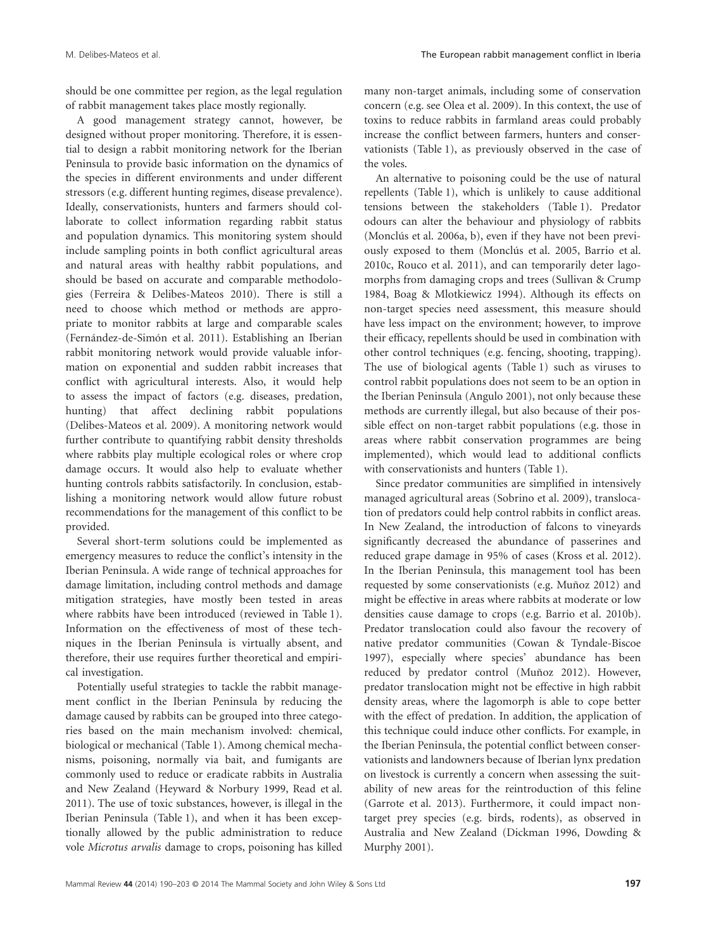should be one committee per region, as the legal regulation of rabbit management takes place mostly regionally.

A good management strategy cannot, however, be designed without proper monitoring. Therefore, it is essential to design a rabbit monitoring network for the Iberian Peninsula to provide basic information on the dynamics of the species in different environments and under different stressors (e.g. different hunting regimes, disease prevalence). Ideally, conservationists, hunters and farmers should collaborate to collect information regarding rabbit status and population dynamics. This monitoring system should include sampling points in both conflict agricultural areas and natural areas with healthy rabbit populations, and should be based on accurate and comparable methodologies (Ferreira & Delibes-Mateos 2010). There is still a need to choose which method or methods are appropriate to monitor rabbits at large and comparable scales (Fernández-de-Simón et al. 2011). Establishing an Iberian rabbit monitoring network would provide valuable information on exponential and sudden rabbit increases that conflict with agricultural interests. Also, it would help to assess the impact of factors (e.g. diseases, predation, hunting) that affect declining rabbit populations (Delibes-Mateos et al. 2009). A monitoring network would further contribute to quantifying rabbit density thresholds where rabbits play multiple ecological roles or where crop damage occurs. It would also help to evaluate whether hunting controls rabbits satisfactorily. In conclusion, establishing a monitoring network would allow future robust recommendations for the management of this conflict to be provided.

Several short-term solutions could be implemented as emergency measures to reduce the conflict's intensity in the Iberian Peninsula. A wide range of technical approaches for damage limitation, including control methods and damage mitigation strategies, have mostly been tested in areas where rabbits have been introduced (reviewed in Table 1). Information on the effectiveness of most of these techniques in the Iberian Peninsula is virtually absent, and therefore, their use requires further theoretical and empirical investigation.

Potentially useful strategies to tackle the rabbit management conflict in the Iberian Peninsula by reducing the damage caused by rabbits can be grouped into three categories based on the main mechanism involved: chemical, biological or mechanical (Table 1). Among chemical mechanisms, poisoning, normally via bait, and fumigants are commonly used to reduce or eradicate rabbits in Australia and New Zealand (Heyward & Norbury 1999, Read et al. 2011). The use of toxic substances, however, is illegal in the Iberian Peninsula (Table 1), and when it has been exceptionally allowed by the public administration to reduce vole *Microtus arvalis* damage to crops, poisoning has killed

many non-target animals, including some of conservation concern (e.g. see Olea et al. 2009). In this context, the use of toxins to reduce rabbits in farmland areas could probably increase the conflict between farmers, hunters and conservationists (Table 1), as previously observed in the case of the voles.

An alternative to poisoning could be the use of natural repellents (Table 1), which is unlikely to cause additional tensions between the stakeholders (Table 1). Predator odours can alter the behaviour and physiology of rabbits (Monclús et al. 2006a, b), even if they have not been previously exposed to them (Monclús et al. 2005, Barrio et al. 2010c, Rouco et al. 2011), and can temporarily deter lagomorphs from damaging crops and trees (Sullivan & Crump 1984, Boag & Mlotkiewicz 1994). Although its effects on non-target species need assessment, this measure should have less impact on the environment; however, to improve their efficacy, repellents should be used in combination with other control techniques (e.g. fencing, shooting, trapping). The use of biological agents (Table 1) such as viruses to control rabbit populations does not seem to be an option in the Iberian Peninsula (Angulo 2001), not only because these methods are currently illegal, but also because of their possible effect on non-target rabbit populations (e.g. those in areas where rabbit conservation programmes are being implemented), which would lead to additional conflicts with conservationists and hunters (Table 1).

Since predator communities are simplified in intensively managed agricultural areas (Sobrino et al. 2009), translocation of predators could help control rabbits in conflict areas. In New Zealand, the introduction of falcons to vineyards significantly decreased the abundance of passerines and reduced grape damage in 95% of cases (Kross et al. 2012). In the Iberian Peninsula, this management tool has been requested by some conservationists (e.g. Muñoz 2012) and might be effective in areas where rabbits at moderate or low densities cause damage to crops (e.g. Barrio et al. 2010b). Predator translocation could also favour the recovery of native predator communities (Cowan & Tyndale-Biscoe 1997), especially where species' abundance has been reduced by predator control (Muñoz 2012). However, predator translocation might not be effective in high rabbit density areas, where the lagomorph is able to cope better with the effect of predation. In addition, the application of this technique could induce other conflicts. For example, in the Iberian Peninsula, the potential conflict between conservationists and landowners because of Iberian lynx predation on livestock is currently a concern when assessing the suitability of new areas for the reintroduction of this feline (Garrote et al. 2013). Furthermore, it could impact nontarget prey species (e.g. birds, rodents), as observed in Australia and New Zealand (Dickman 1996, Dowding & Murphy 2001).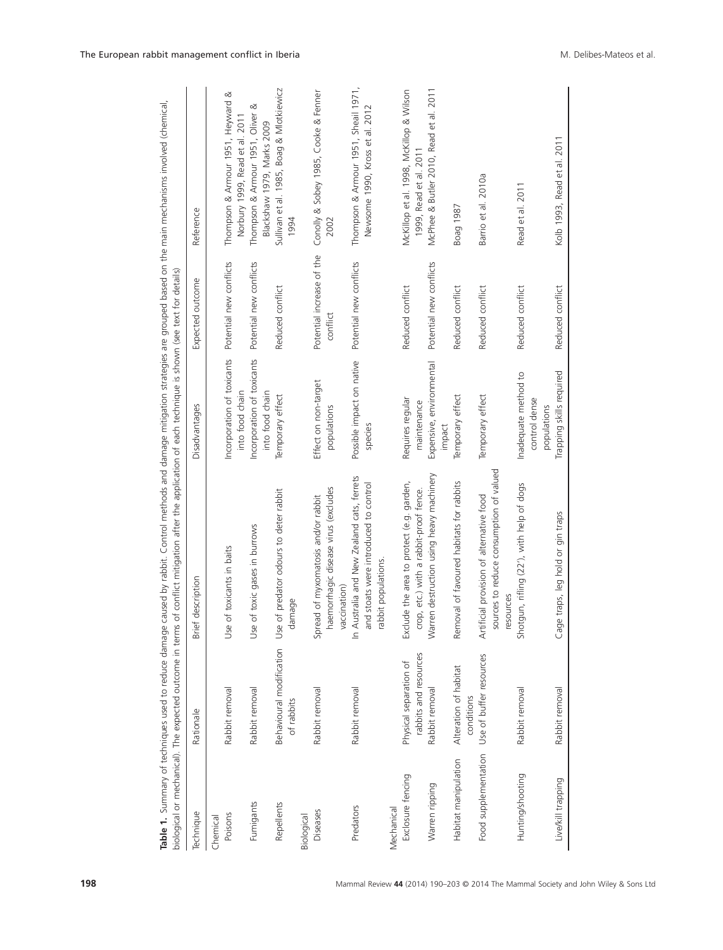|                      | Table 1. Summary of techniques used to reduce damage<br>biological or mechanical). The expected outcome in terms | caused by rabbit. Control methods and damage mitigation strategies are grouped based on the main mechanisms involved (chemical<br>of conflict mitigation after the application of each technique is shown (see text for details) |                                                      |                                       |                                                                         |
|----------------------|------------------------------------------------------------------------------------------------------------------|----------------------------------------------------------------------------------------------------------------------------------------------------------------------------------------------------------------------------------|------------------------------------------------------|---------------------------------------|-------------------------------------------------------------------------|
| Technique            | Rationale                                                                                                        | Brief description                                                                                                                                                                                                                | Disadvantages                                        | Expected outcome                      | Reference                                                               |
| Poisons<br>Chemical  | Rabbit removal                                                                                                   | of toxicants in baits<br>Use                                                                                                                                                                                                     | Incorporation of toxicants<br>into food chain        | Potential new conflicts               | Thompson & Armour 1951, Heyward &<br>Norbury 1999, Read et al. 2011     |
| Fumigants            | Rabbit removal                                                                                                   | of toxic gases in burrows<br>Use                                                                                                                                                                                                 | Incorporation of toxicants<br>into food chain        | Potential new conflicts               | ∞<br>Thompson & Armour 1951, Oliver<br>Blackshaw 1979, Marks 2009       |
| Repellents           | Behavioural modification Use<br>of rabbits                                                                       | of predator odours to deter rabbit<br>damage                                                                                                                                                                                     | Temporary effect                                     | Reduced conflict                      | Sullivan et al. 1985, Boag & Mlotkiewicz<br>1994                        |
| Biological           |                                                                                                                  |                                                                                                                                                                                                                                  |                                                      |                                       |                                                                         |
| Diseases             | Rabbit removal                                                                                                   | haemorrhagic disease virus (excludes<br>Spread of myxomatosis and/or rabbit<br>vaccination)                                                                                                                                      | Effect on non-target<br>populations                  | Potential increase of the<br>conflict | Conolly & Sobey 1985, Cooke & Fenner<br>2002                            |
| Predators            | Rabbit removal                                                                                                   | In Australia and New Zealand cats, ferrets<br>and stoats were introduced to control<br>rabbit populations                                                                                                                        | Possible impact on native<br>species                 | Potential new conflicts               | Thompson & Armour 1951, Sheail 1971,<br>Newsome 1990, Kross et al. 2012 |
| Mechanical           |                                                                                                                  |                                                                                                                                                                                                                                  |                                                      |                                       |                                                                         |
| Exclosure fencing    | rabbits and resources<br>Physical separation of                                                                  | Exclude the area to protect (e.g. garden,<br>crop, etc.) with a rabbit-proof fence.                                                                                                                                              | Requires regular<br>maintenance                      | Reduced conflict                      | McKillop et al. 1998, McKillop & Wilson<br>1999, Read et al. 2011       |
| Warren ripping       | Rabbit removal                                                                                                   | Warren destruction using heavy machinery                                                                                                                                                                                         | Expensive, environmental<br>impact                   | Potential new conflicts               | McPhee & Butler 2010, Read et al. 2011                                  |
| Habitat manipulation | Alteration of habitat<br>conditions                                                                              | Removal of favoured habitats for rabbits                                                                                                                                                                                         | Temporary effect                                     | Reduced conflict                      | Boag 1987                                                               |
| Food supplementation | Use of buffer resources                                                                                          | sources to reduce consumption of valued<br>Artificial provision of alternative food<br>resources                                                                                                                                 | Temporary effect                                     | Reduced conflict                      | Barrio et al. 2010a                                                     |
| Hunting/shooting     | Rabbit removal                                                                                                   | Shotgun, rifling (22'), with help of dogs                                                                                                                                                                                        | Inadequate method to<br>control dense<br>populations | Reduced conflict                      | Read et al. 2011                                                        |
| Live/kill trapping   | Rabbit removal                                                                                                   | Cage traps, leg hold or gin traps                                                                                                                                                                                                | Trapping skills required                             | Reduced conflict                      | Kolb 1993, Read et al. 2011                                             |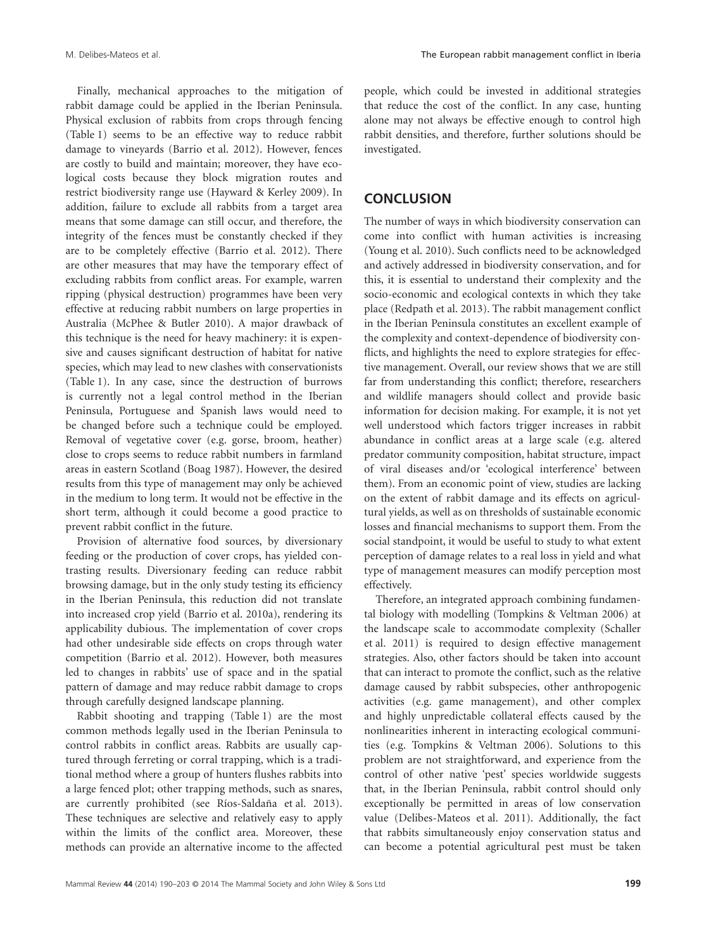Finally, mechanical approaches to the mitigation of rabbit damage could be applied in the Iberian Peninsula. Physical exclusion of rabbits from crops through fencing (Table 1) seems to be an effective way to reduce rabbit damage to vineyards (Barrio et al. 2012). However, fences are costly to build and maintain; moreover, they have ecological costs because they block migration routes and restrict biodiversity range use (Hayward & Kerley 2009). In addition, failure to exclude all rabbits from a target area means that some damage can still occur, and therefore, the integrity of the fences must be constantly checked if they are to be completely effective (Barrio et al. 2012). There are other measures that may have the temporary effect of excluding rabbits from conflict areas. For example, warren ripping (physical destruction) programmes have been very effective at reducing rabbit numbers on large properties in Australia (McPhee & Butler 2010). A major drawback of this technique is the need for heavy machinery: it is expensive and causes significant destruction of habitat for native species, which may lead to new clashes with conservationists (Table 1). In any case, since the destruction of burrows is currently not a legal control method in the Iberian Peninsula, Portuguese and Spanish laws would need to be changed before such a technique could be employed. Removal of vegetative cover (e.g. gorse, broom, heather) close to crops seems to reduce rabbit numbers in farmland areas in eastern Scotland (Boag 1987). However, the desired results from this type of management may only be achieved in the medium to long term. It would not be effective in the short term, although it could become a good practice to prevent rabbit conflict in the future.

Provision of alternative food sources, by diversionary feeding or the production of cover crops, has yielded contrasting results. Diversionary feeding can reduce rabbit browsing damage, but in the only study testing its efficiency in the Iberian Peninsula, this reduction did not translate into increased crop yield (Barrio et al. 2010a), rendering its applicability dubious. The implementation of cover crops had other undesirable side effects on crops through water competition (Barrio et al. 2012). However, both measures led to changes in rabbits' use of space and in the spatial pattern of damage and may reduce rabbit damage to crops through carefully designed landscape planning.

Rabbit shooting and trapping (Table 1) are the most common methods legally used in the Iberian Peninsula to control rabbits in conflict areas. Rabbits are usually captured through ferreting or corral trapping, which is a traditional method where a group of hunters flushes rabbits into a large fenced plot; other trapping methods, such as snares, are currently prohibited (see Ríos-Saldaña et al. 2013). These techniques are selective and relatively easy to apply within the limits of the conflict area. Moreover, these methods can provide an alternative income to the affected

people, which could be invested in additional strategies that reduce the cost of the conflict. In any case, hunting alone may not always be effective enough to control high rabbit densities, and therefore, further solutions should be investigated.

## **CONCLUSION**

The number of ways in which biodiversity conservation can come into conflict with human activities is increasing (Young et al. 2010). Such conflicts need to be acknowledged and actively addressed in biodiversity conservation, and for this, it is essential to understand their complexity and the socio-economic and ecological contexts in which they take place (Redpath et al. 2013). The rabbit management conflict in the Iberian Peninsula constitutes an excellent example of the complexity and context-dependence of biodiversity conflicts, and highlights the need to explore strategies for effective management. Overall, our review shows that we are still far from understanding this conflict; therefore, researchers and wildlife managers should collect and provide basic information for decision making. For example, it is not yet well understood which factors trigger increases in rabbit abundance in conflict areas at a large scale (e.g. altered predator community composition, habitat structure, impact of viral diseases and/or 'ecological interference' between them). From an economic point of view, studies are lacking on the extent of rabbit damage and its effects on agricultural yields, as well as on thresholds of sustainable economic losses and financial mechanisms to support them. From the social standpoint, it would be useful to study to what extent perception of damage relates to a real loss in yield and what type of management measures can modify perception most effectively.

Therefore, an integrated approach combining fundamental biology with modelling (Tompkins & Veltman 2006) at the landscape scale to accommodate complexity (Schaller et al. 2011) is required to design effective management strategies. Also, other factors should be taken into account that can interact to promote the conflict, such as the relative damage caused by rabbit subspecies, other anthropogenic activities (e.g. game management), and other complex and highly unpredictable collateral effects caused by the nonlinearities inherent in interacting ecological communities (e.g. Tompkins & Veltman 2006). Solutions to this problem are not straightforward, and experience from the control of other native 'pest' species worldwide suggests that, in the Iberian Peninsula, rabbit control should only exceptionally be permitted in areas of low conservation value (Delibes-Mateos et al. 2011). Additionally, the fact that rabbits simultaneously enjoy conservation status and can become a potential agricultural pest must be taken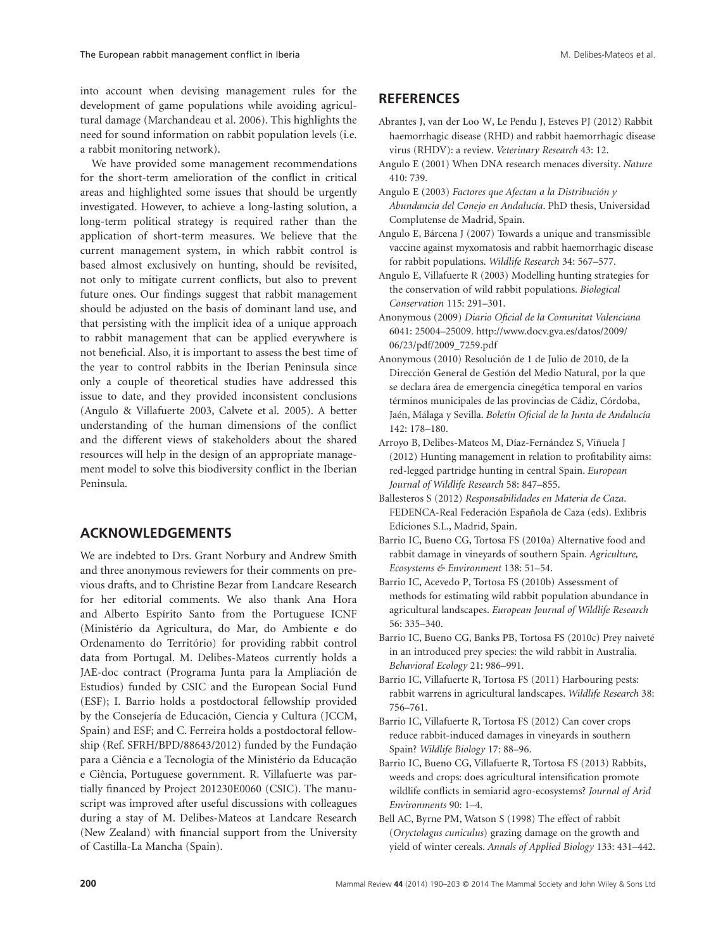into account when devising management rules for the development of game populations while avoiding agricultural damage (Marchandeau et al. 2006). This highlights the need for sound information on rabbit population levels (i.e. a rabbit monitoring network).

We have provided some management recommendations for the short-term amelioration of the conflict in critical areas and highlighted some issues that should be urgently investigated. However, to achieve a long-lasting solution, a long-term political strategy is required rather than the application of short-term measures. We believe that the current management system, in which rabbit control is based almost exclusively on hunting, should be revisited, not only to mitigate current conflicts, but also to prevent future ones. Our findings suggest that rabbit management should be adjusted on the basis of dominant land use, and that persisting with the implicit idea of a unique approach to rabbit management that can be applied everywhere is not beneficial. Also, it is important to assess the best time of the year to control rabbits in the Iberian Peninsula since only a couple of theoretical studies have addressed this issue to date, and they provided inconsistent conclusions (Angulo & Villafuerte 2003, Calvete et al. 2005). A better understanding of the human dimensions of the conflict and the different views of stakeholders about the shared resources will help in the design of an appropriate management model to solve this biodiversity conflict in the Iberian Peninsula.

# **ACKNOWLEDGEMENTS**

We are indebted to Drs. Grant Norbury and Andrew Smith and three anonymous reviewers for their comments on previous drafts, and to Christine Bezar from Landcare Research for her editorial comments. We also thank Ana Hora and Alberto Espírito Santo from the Portuguese ICNF (Ministério da Agricultura, do Mar, do Ambiente e do Ordenamento do Território) for providing rabbit control data from Portugal. M. Delibes-Mateos currently holds a JAE-doc contract (Programa Junta para la Ampliación de Estudios) funded by CSIC and the European Social Fund (ESF); I. Barrio holds a postdoctoral fellowship provided by the Consejería de Educación, Ciencia y Cultura (JCCM, Spain) and ESF; and C. Ferreira holds a postdoctoral fellowship (Ref. SFRH/BPD/88643/2012) funded by the Fundação para a Ciência e a Tecnologia of the Ministério da Educação e Ciência, Portuguese government. R. Villafuerte was partially financed by Project 201230E0060 (CSIC). The manuscript was improved after useful discussions with colleagues during a stay of M. Delibes-Mateos at Landcare Research (New Zealand) with financial support from the University of Castilla-La Mancha (Spain).

# **REFERENCES**

- Abrantes J, van der Loo W, Le Pendu J, Esteves PJ (2012) Rabbit haemorrhagic disease (RHD) and rabbit haemorrhagic disease virus (RHDV): a review. *Veterinary Research* 43: 12.
- Angulo E (2001) When DNA research menaces diversity. *Nature* 410: 739.
- Angulo E (2003) *Factores que Afectan a la Distribución y Abundancia del Conejo en Andalucía*. PhD thesis, Universidad Complutense de Madrid, Spain.
- Angulo E, Bárcena J (2007) Towards a unique and transmissible vaccine against myxomatosis and rabbit haemorrhagic disease for rabbit populations. *Wildlife Research* 34: 567–577.
- Angulo E, Villafuerte R (2003) Modelling hunting strategies for the conservation of wild rabbit populations. *Biological Conservation* 115: 291–301.
- Anonymous (2009) *Diario Oficial de la Comunitat Valenciana* 6041: 25004–25009. http://www.docv.gva.es/datos/2009/ 06/23/pdf/2009\_7259.pdf
- Anonymous (2010) Resolución de 1 de Julio de 2010, de la Dirección General de Gestión del Medio Natural, por la que se declara área de emergencia cinegética temporal en varios términos municipales de las provincias de Cádiz, Córdoba, Jaén, Málaga y Sevilla. *Boletín Oficial de la Junta de Andalucía* 142: 178–180.
- Arroyo B, Delibes-Mateos M, Díaz-Fernández S, Viñuela J (2012) Hunting management in relation to profitability aims: red-legged partridge hunting in central Spain. *European Journal of Wildlife Research* 58: 847–855.
- Ballesteros S (2012) *Responsabilidades en Materia de Caza*. FEDENCA-Real Federación Española de Caza (eds). Exlibris Ediciones S.L., Madrid, Spain.
- Barrio IC, Bueno CG, Tortosa FS (2010a) Alternative food and rabbit damage in vineyards of southern Spain. *Agriculture, Ecosystems & Environment* 138: 51–54.
- Barrio IC, Acevedo P, Tortosa FS (2010b) Assessment of methods for estimating wild rabbit population abundance in agricultural landscapes. *European Journal of Wildlife Research* 56: 335–340.
- Barrio IC, Bueno CG, Banks PB, Tortosa FS (2010c) Prey naiveté in an introduced prey species: the wild rabbit in Australia. *Behavioral Ecology* 21: 986–991.
- Barrio IC, Villafuerte R, Tortosa FS (2011) Harbouring pests: rabbit warrens in agricultural landscapes. *Wildlife Research* 38: 756–761.
- Barrio IC, Villafuerte R, Tortosa FS (2012) Can cover crops reduce rabbit-induced damages in vineyards in southern Spain? *Wildlife Biology* 17: 88–96.
- Barrio IC, Bueno CG, Villafuerte R, Tortosa FS (2013) Rabbits, weeds and crops: does agricultural intensification promote wildlife conflicts in semiarid agro-ecosystems? *Journal of Arid Environments* 90: 1–4.
- Bell AC, Byrne PM, Watson S (1998) The effect of rabbit (*Oryctolagus cuniculus*) grazing damage on the growth and yield of winter cereals. *Annals of Applied Biology* 133: 431–442.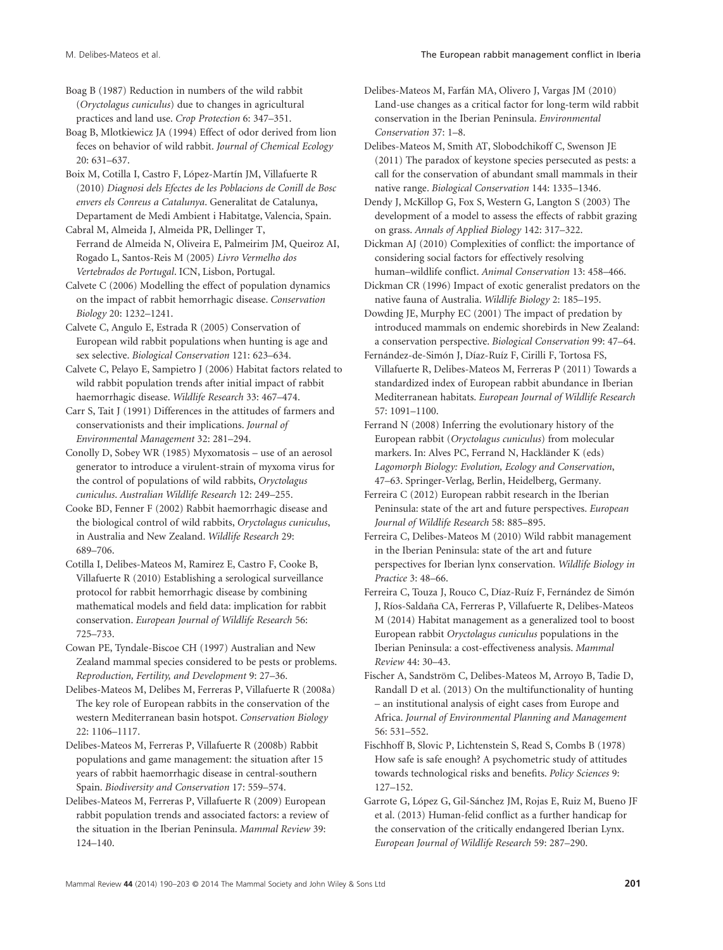Boag B (1987) Reduction in numbers of the wild rabbit (*Oryctolagus cuniculus*) due to changes in agricultural practices and land use. *Crop Protection* 6: 347–351.

Boag B, Mlotkiewicz JA (1994) Effect of odor derived from lion feces on behavior of wild rabbit. *Journal of Chemical Ecology* 20: 631–637.

Boix M, Cotilla I, Castro F, López-Martín JM, Villafuerte R (2010) *Diagnosi dels Efectes de les Poblacions de Conill de Bosc envers els Conreus a Catalunya*. Generalitat de Catalunya, Departament de Medi Ambient i Habitatge, Valencia, Spain.

Cabral M, Almeida J, Almeida PR, Dellinger T, Ferrand de Almeida N, Oliveira E, Palmeirim JM, Queiroz AI, Rogado L, Santos-Reis M (2005) *Livro Vermelho dos Vertebrados de Portugal*. ICN, Lisbon, Portugal.

Calvete C (2006) Modelling the effect of population dynamics on the impact of rabbit hemorrhagic disease. *Conservation Biology* 20: 1232–1241.

Calvete C, Angulo E, Estrada R (2005) Conservation of European wild rabbit populations when hunting is age and sex selective. *Biological Conservation* 121: 623–634.

Calvete C, Pelayo E, Sampietro J (2006) Habitat factors related to wild rabbit population trends after initial impact of rabbit haemorrhagic disease. *Wildlife Research* 33: 467–474.

Carr S, Tait J (1991) Differences in the attitudes of farmers and conservationists and their implications. *Journal of Environmental Management* 32: 281–294.

Conolly D, Sobey WR (1985) Myxomatosis – use of an aerosol generator to introduce a virulent-strain of myxoma virus for the control of populations of wild rabbits, *Oryctolagus cuniculus*. *Australian Wildlife Research* 12: 249–255.

Cooke BD, Fenner F (2002) Rabbit haemorrhagic disease and the biological control of wild rabbits, *Oryctolagus cuniculus*, in Australia and New Zealand. *Wildlife Research* 29: 689–706.

Cotilla I, Delibes-Mateos M, Ramirez E, Castro F, Cooke B, Villafuerte R (2010) Establishing a serological surveillance protocol for rabbit hemorrhagic disease by combining mathematical models and field data: implication for rabbit conservation. *European Journal of Wildlife Research* 56: 725–733.

Cowan PE, Tyndale-Biscoe CH (1997) Australian and New Zealand mammal species considered to be pests or problems. *Reproduction, Fertility, and Development* 9: 27–36.

Delibes-Mateos M, Delibes M, Ferreras P, Villafuerte R (2008a) The key role of European rabbits in the conservation of the western Mediterranean basin hotspot. *Conservation Biology* 22: 1106–1117.

Delibes-Mateos M, Ferreras P, Villafuerte R (2008b) Rabbit populations and game management: the situation after 15 years of rabbit haemorrhagic disease in central-southern Spain. *Biodiversity and Conservation* 17: 559–574.

Delibes-Mateos M, Ferreras P, Villafuerte R (2009) European rabbit population trends and associated factors: a review of the situation in the Iberian Peninsula. *Mammal Review* 39: 124–140.

Delibes-Mateos M, Farfán MA, Olivero J, Vargas JM (2010) Land-use changes as a critical factor for long-term wild rabbit conservation in the Iberian Peninsula. *Environmental Conservation* 37: 1–8.

Delibes-Mateos M, Smith AT, Slobodchikoff C, Swenson JE (2011) The paradox of keystone species persecuted as pests: a call for the conservation of abundant small mammals in their native range. *Biological Conservation* 144: 1335–1346.

Dendy J, McKillop G, Fox S, Western G, Langton S (2003) The development of a model to assess the effects of rabbit grazing on grass. *Annals of Applied Biology* 142: 317–322.

Dickman AJ (2010) Complexities of conflict: the importance of considering social factors for effectively resolving human–wildlife conflict. *Animal Conservation* 13: 458–466.

Dickman CR (1996) Impact of exotic generalist predators on the native fauna of Australia. *Wildlife Biology* 2: 185–195.

Dowding JE, Murphy EC (2001) The impact of predation by introduced mammals on endemic shorebirds in New Zealand: a conservation perspective. *Biological Conservation* 99: 47–64.

Fernández-de-Simón J, Díaz-Ruíz F, Cirilli F, Tortosa FS, Villafuerte R, Delibes-Mateos M, Ferreras P (2011) Towards a standardized index of European rabbit abundance in Iberian Mediterranean habitats. *European Journal of Wildlife Research* 57: 1091–1100.

Ferrand N (2008) Inferring the evolutionary history of the European rabbit (*Oryctolagus cuniculus*) from molecular markers. In: Alves PC, Ferrand N, Hackländer K (eds) *Lagomorph Biology: Evolution, Ecology and Conservation*, 47–63. Springer-Verlag, Berlin, Heidelberg, Germany.

Ferreira C (2012) European rabbit research in the Iberian Peninsula: state of the art and future perspectives. *European Journal of Wildlife Research* 58: 885–895.

Ferreira C, Delibes-Mateos M (2010) Wild rabbit management in the Iberian Peninsula: state of the art and future perspectives for Iberian lynx conservation. *Wildlife Biology in Practice* 3: 48–66.

Ferreira C, Touza J, Rouco C, Díaz-Ruíz F, Fernández de Simón J, Ríos-Saldaña CA, Ferreras P, Villafuerte R, Delibes-Mateos M (2014) Habitat management as a generalized tool to boost European rabbit *Oryctolagus cuniculus* populations in the Iberian Peninsula: a cost-effectiveness analysis. *Mammal Review* 44: 30–43.

Fischer A, Sandström C, Delibes-Mateos M, Arroyo B, Tadie D, Randall D et al. (2013) On the multifunctionality of hunting – an institutional analysis of eight cases from Europe and Africa. *Journal of Environmental Planning and Management* 56: 531–552.

Fischhoff B, Slovic P, Lichtenstein S, Read S, Combs B (1978) How safe is safe enough? A psychometric study of attitudes towards technological risks and benefits. *Policy Sciences* 9: 127–152.

Garrote G, López G, Gil-Sánchez JM, Rojas E, Ruiz M, Bueno JF et al. (2013) Human-felid conflict as a further handicap for the conservation of the critically endangered Iberian Lynx. *European Journal of Wildlife Research* 59: 287–290.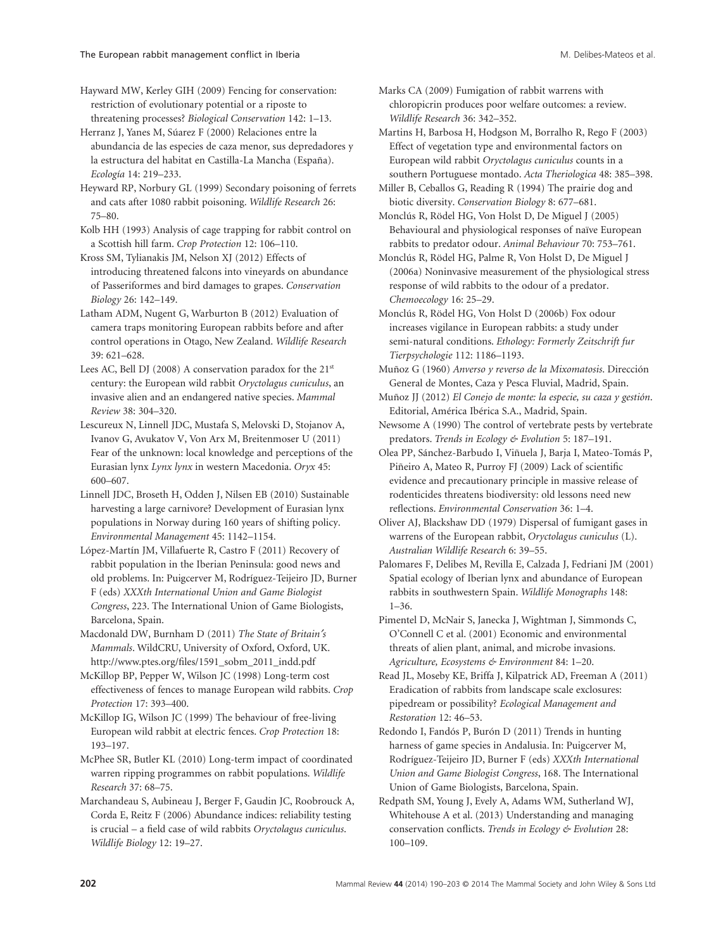Hayward MW, Kerley GIH (2009) Fencing for conservation: restriction of evolutionary potential or a riposte to threatening processes? *Biological Conservation* 142: 1–13.

Herranz J, Yanes M, Súarez F (2000) Relaciones entre la abundancia de las especies de caza menor, sus depredadores y la estructura del habitat en Castilla-La Mancha (España). *Ecología* 14: 219–233.

Heyward RP, Norbury GL (1999) Secondary poisoning of ferrets and cats after 1080 rabbit poisoning. *Wildlife Research* 26: 75–80.

Kolb HH (1993) Analysis of cage trapping for rabbit control on a Scottish hill farm. *Crop Protection* 12: 106–110.

Kross SM, Tylianakis JM, Nelson XJ (2012) Effects of introducing threatened falcons into vineyards on abundance of Passeriformes and bird damages to grapes. *Conservation Biology* 26: 142–149.

Latham ADM, Nugent G, Warburton B (2012) Evaluation of camera traps monitoring European rabbits before and after control operations in Otago, New Zealand. *Wildlife Research* 39: 621–628.

Lees AC, Bell DJ (2008) A conservation paradox for the 21<sup>st</sup> century: the European wild rabbit *Oryctolagus cuniculus*, an invasive alien and an endangered native species. *Mammal Review* 38: 304–320.

Lescureux N, Linnell JDC, Mustafa S, Melovski D, Stojanov A, Ivanov G, Avukatov V, Von Arx M, Breitenmoser U (2011) Fear of the unknown: local knowledge and perceptions of the Eurasian lynx *Lynx lynx* in western Macedonia. *Oryx* 45: 600–607.

Linnell JDC, Broseth H, Odden J, Nilsen EB (2010) Sustainable harvesting a large carnivore? Development of Eurasian lynx populations in Norway during 160 years of shifting policy. *Environmental Management* 45: 1142–1154.

López-Martín JM, Villafuerte R, Castro F (2011) Recovery of rabbit population in the Iberian Peninsula: good news and old problems. In: Puigcerver M, Rodríguez-Teijeiro JD, Burner F (eds) *XXXth International Union and Game Biologist Congress*, 223. The International Union of Game Biologists, Barcelona, Spain.

Macdonald DW, Burnham D (2011) *The State of Britain′s Mammals*. WildCRU, University of Oxford, Oxford, UK. http://www.ptes.org/files/1591\_sobm\_2011\_indd.pdf

McKillop BP, Pepper W, Wilson JC (1998) Long-term cost effectiveness of fences to manage European wild rabbits. *Crop Protection* 17: 393–400.

McKillop IG, Wilson JC (1999) The behaviour of free-living European wild rabbit at electric fences. *Crop Protection* 18: 193–197.

McPhee SR, Butler KL (2010) Long-term impact of coordinated warren ripping programmes on rabbit populations. *Wildlife Research* 37: 68–75.

Marchandeau S, Aubineau J, Berger F, Gaudin JC, Roobrouck A, Corda E, Reitz F (2006) Abundance indices: reliability testing is crucial – a field case of wild rabbits *Oryctolagus cuniculus*. *Wildlife Biology* 12: 19–27.

Marks CA (2009) Fumigation of rabbit warrens with chloropicrin produces poor welfare outcomes: a review. *Wildlife Research* 36: 342–352.

Martins H, Barbosa H, Hodgson M, Borralho R, Rego F (2003) Effect of vegetation type and environmental factors on European wild rabbit *Oryctolagus cuniculus* counts in a southern Portuguese montado. *Acta Theriologica* 48: 385–398.

Miller B, Ceballos G, Reading R (1994) The prairie dog and biotic diversity. *Conservation Biology* 8: 677–681.

Monclús R, Rödel HG, Von Holst D, De Miguel J (2005) Behavioural and physiological responses of naïve European rabbits to predator odour. *Animal Behaviour* 70: 753–761.

Monclús R, Rödel HG, Palme R, Von Holst D, De Miguel J (2006a) Noninvasive measurement of the physiological stress response of wild rabbits to the odour of a predator. *Chemoecology* 16: 25–29.

Monclús R, Rödel HG, Von Holst D (2006b) Fox odour increases vigilance in European rabbits: a study under semi-natural conditions. *Ethology: Formerly Zeitschrift fur Tierpsychologie* 112: 1186–1193.

Muñoz G (1960) *Anverso y reverso de la Mixomatosis*. Dirección General de Montes, Caza y Pesca Fluvial, Madrid, Spain.

Muñoz JJ (2012) *El Conejo de monte: la especie, su caza y gestión*. Editorial, América Ibérica S.A., Madrid, Spain.

Newsome A (1990) The control of vertebrate pests by vertebrate predators. *Trends in Ecology & Evolution* 5: 187–191.

Olea PP, Sánchez-Barbudo I, Viñuela J, Barja I, Mateo-Tomás P, Piñeiro A, Mateo R, Purroy FJ (2009) Lack of scientific evidence and precautionary principle in massive release of rodenticides threatens biodiversity: old lessons need new reflections. *Environmental Conservation* 36: 1–4.

Oliver AJ, Blackshaw DD (1979) Dispersal of fumigant gases in warrens of the European rabbit, *Oryctolagus cuniculus* (L). *Australian Wildlife Research* 6: 39–55.

Palomares F, Delibes M, Revilla E, Calzada J, Fedriani JM (2001) Spatial ecology of Iberian lynx and abundance of European rabbits in southwestern Spain. *Wildlife Monographs* 148: 1–36.

Pimentel D, McNair S, Janecka J, Wightman J, Simmonds C, O'Connell C et al. (2001) Economic and environmental threats of alien plant, animal, and microbe invasions. *Agriculture, Ecosystems & Environment* 84: 1–20.

Read JL, Moseby KE, Briffa J, Kilpatrick AD, Freeman A (2011) Eradication of rabbits from landscape scale exclosures: pipedream or possibility? *Ecological Management and Restoration* 12: 46–53.

Redondo I, Fandós P, Burón D (2011) Trends in hunting harness of game species in Andalusia. In: Puigcerver M, Rodríguez-Teijeiro JD, Burner F (eds) *XXXth International Union and Game Biologist Congress*, 168. The International Union of Game Biologists, Barcelona, Spain.

Redpath SM, Young J, Evely A, Adams WM, Sutherland WJ, Whitehouse A et al. (2013) Understanding and managing conservation conflicts. *Trends in Ecology & Evolution* 28: 100–109.